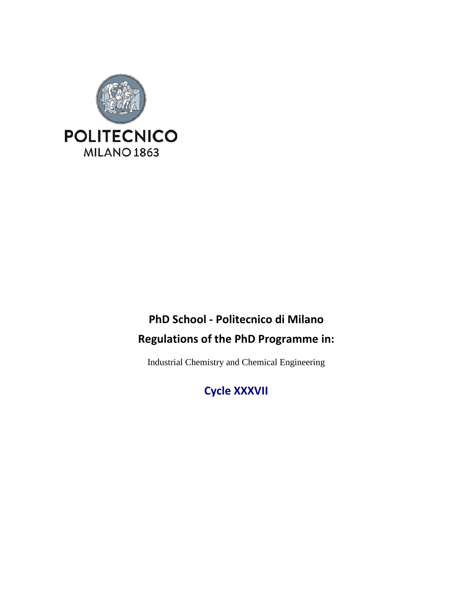

# **PhD School - Politecnico di Milano Regulations of the PhD Programme in:**

Industrial Chemistry and Chemical Engineering

**Cycle XXXVII**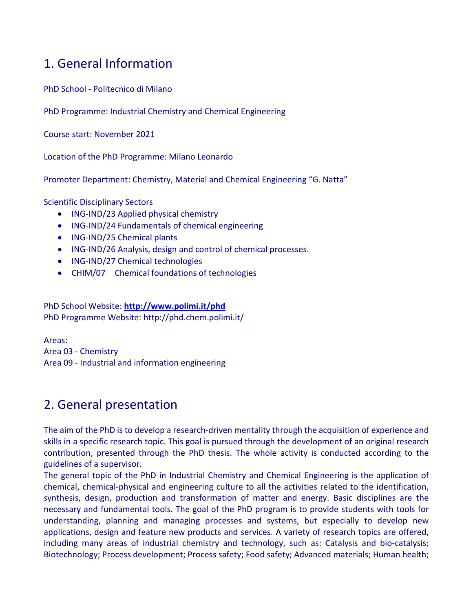## 1. General Information

PhD School - Politecnico di Milano

PhD Programme: Industrial Chemistry and Chemical Engineering

Course start: November 2021

Location of the PhD Programme: Milano Leonardo

Promoter Department: Chemistry, Material and Chemical Engineering "G. Natta"

Scientific Disciplinary Sectors

- ING-IND/23 Applied physical chemistry
- ING-IND/24 Fundamentals of chemical engineering
- ING-IND/25 Chemical plants
- ING-IND/26 Analysis, design and control of chemical processes.
- ING-IND/27 Chemical technologies
- CHIM/07 Chemical foundations of technologies

PhD School Website: **<http://www.polimi.it/phd>** PhD Programme Website: http://phd.chem.polimi.it/

Areas: Area 03 - Chemistry Area 09 - Industrial and information engineering

## 2. General presentation

The aim of the PhD is to develop a research-driven mentality through the acquisition of experience and skills in a specific research topic. This goal is pursued through the development of an original research contribution, presented through the PhD thesis. The whole activity is conducted according to the guidelines of a supervisor.

The general topic of the PhD in Industrial Chemistry and Chemical Engineering is the application of chemical, chemical-physical and engineering culture to all the activities related to the identification, synthesis, design, production and transformation of matter and energy. Basic disciplines are the necessary and fundamental tools. The goal of the PhD program is to provide students with tools for understanding, planning and managing processes and systems, but especially to develop new applications, design and feature new products and services. A variety of research topics are offered, including many areas of industrial chemistry and technology, such as: Catalysis and bio-catalysis; Biotechnology; Process development; Process safety; Food safety; Advanced materials; Human health;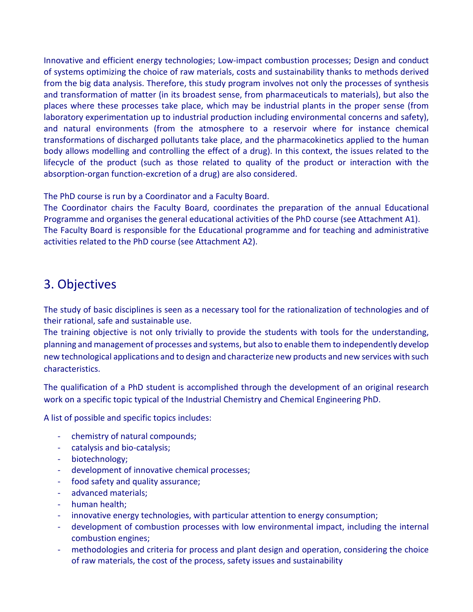Innovative and efficient energy technologies; Low-impact combustion processes; Design and conduct of systems optimizing the choice of raw materials, costs and sustainability thanks to methods derived from the big data analysis. Therefore, this study program involves not only the processes of synthesis and transformation of matter (in its broadest sense, from pharmaceuticals to materials), but also the places where these processes take place, which may be industrial plants in the proper sense (from laboratory experimentation up to industrial production including environmental concerns and safety), and natural environments (from the atmosphere to a reservoir where for instance chemical transformations of discharged pollutants take place, and the pharmacokinetics applied to the human body allows modelling and controlling the effect of a drug). In this context, the issues related to the lifecycle of the product (such as those related to quality of the product or interaction with the absorption-organ function-excretion of a drug) are also considered.

The PhD course is run by a Coordinator and a Faculty Board.

The Coordinator chairs the Faculty Board, coordinates the preparation of the annual Educational Programme and organises the general educational activities of the PhD course (see Attachment A1). The Faculty Board is responsible for the Educational programme and for teaching and administrative activities related to the PhD course (see Attachment A2).

## 3. Objectives

The study of basic disciplines is seen as a necessary tool for the rationalization of technologies and of their rational, safe and sustainable use.

The training objective is not only trivially to provide the students with tools for the understanding, planning and management of processes and systems, but also to enable them to independently develop new technological applications and to design and characterize new products and new services with such characteristics.

The qualification of a PhD student is accomplished through the development of an original research work on a specific topic typical of the Industrial Chemistry and Chemical Engineering PhD.

A list of possible and specific topics includes:

- chemistry of natural compounds;
- catalysis and bio-catalysis;
- biotechnology;
- development of innovative chemical processes;
- food safety and quality assurance;
- advanced materials;
- human health;
- innovative energy technologies, with particular attention to energy consumption;
- development of combustion processes with low environmental impact, including the internal combustion engines;
- methodologies and criteria for process and plant design and operation, considering the choice of raw materials, the cost of the process, safety issues and sustainability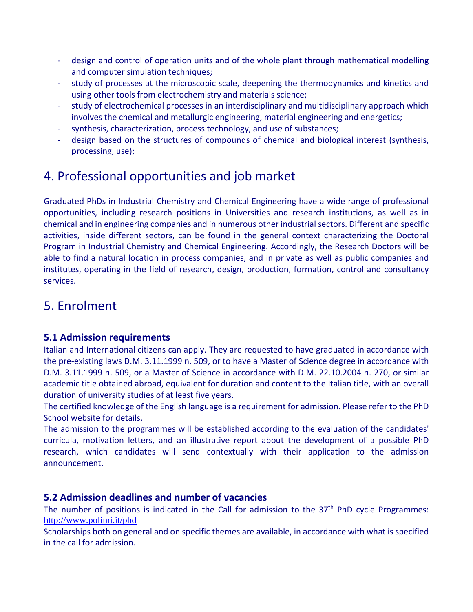- design and control of operation units and of the whole plant through mathematical modelling and computer simulation techniques;
- study of processes at the microscopic scale, deepening the thermodynamics and kinetics and using other tools from electrochemistry and materials science;
- study of electrochemical processes in an interdisciplinary and multidisciplinary approach which involves the chemical and metallurgic engineering, material engineering and energetics;
- synthesis, characterization, process technology, and use of substances;
- design based on the structures of compounds of chemical and biological interest (synthesis, processing, use);

## 4. Professional opportunities and job market

Graduated PhDs in Industrial Chemistry and Chemical Engineering have a wide range of professional opportunities, including research positions in Universities and research institutions, as well as in chemical and in engineering companies and in numerous other industrial sectors. Different and specific activities, inside different sectors, can be found in the general context characterizing the Doctoral Program in Industrial Chemistry and Chemical Engineering. Accordingly, the Research Doctors will be able to find a natural location in process companies, and in private as well as public companies and institutes, operating in the field of research, design, production, formation, control and consultancy services.

## 5. Enrolment

### **5.1 Admission requirements**

Italian and International citizens can apply. They are requested to have graduated in accordance with the pre-existing laws D.M. 3.11.1999 n. 509, or to have a Master of Science degree in accordance with D.M. 3.11.1999 n. 509, or a Master of Science in accordance with D.M. 22.10.2004 n. 270, or similar academic title obtained abroad, equivalent for duration and content to the Italian title, with an overall duration of university studies of at least five years.

The certified knowledge of the English language is a requirement for admission. Please refer to the PhD School website for details.

The admission to the programmes will be established according to the evaluation of the candidates' curricula, motivation letters, and an illustrative report about the development of a possible PhD research, which candidates will send contextually with their application to the admission announcement.

### **5.2 Admission deadlines and number of vacancies**

The number of positions is indicated in the Call for admission to the  $37<sup>th</sup>$  PhD cycle Programmes: <http://www.polimi.it/phd>

Scholarships both on general and on specific themes are available, in accordance with what is specified in the call for admission.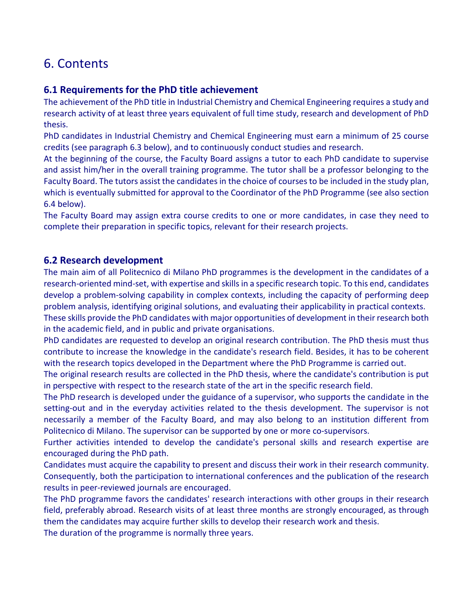## 6. Contents

### **6.1 Requirements for the PhD title achievement**

The achievement of the PhD title in Industrial Chemistry and Chemical Engineering requires a study and research activity of at least three years equivalent of full time study, research and development of PhD thesis.

PhD candidates in Industrial Chemistry and Chemical Engineering must earn a minimum of 25 course credits (see paragraph 6.3 below), and to continuously conduct studies and research.

At the beginning of the course, the Faculty Board assigns a tutor to each PhD candidate to supervise and assist him/her in the overall training programme. The tutor shall be a professor belonging to the Faculty Board. The tutors assist the candidates in the choice of courses to be included in the study plan, which is eventually submitted for approval to the Coordinator of the PhD Programme (see also section 6.4 below).

The Faculty Board may assign extra course credits to one or more candidates, in case they need to complete their preparation in specific topics, relevant for their research projects.

### **6.2 Research development**

The main aim of all Politecnico di Milano PhD programmes is the development in the candidates of a research-oriented mind-set, with expertise and skills in a specific research topic. To this end, candidates develop a problem-solving capability in complex contexts, including the capacity of performing deep problem analysis, identifying original solutions, and evaluating their applicability in practical contexts. These skills provide the PhD candidates with major opportunities of development in their research both

in the academic field, and in public and private organisations.

PhD candidates are requested to develop an original research contribution. The PhD thesis must thus contribute to increase the knowledge in the candidate's research field. Besides, it has to be coherent with the research topics developed in the Department where the PhD Programme is carried out.

The original research results are collected in the PhD thesis, where the candidate's contribution is put in perspective with respect to the research state of the art in the specific research field.

The PhD research is developed under the guidance of a supervisor, who supports the candidate in the setting-out and in the everyday activities related to the thesis development. The supervisor is not necessarily a member of the Faculty Board, and may also belong to an institution different from Politecnico di Milano. The supervisor can be supported by one or more co-supervisors.

Further activities intended to develop the candidate's personal skills and research expertise are encouraged during the PhD path.

Candidates must acquire the capability to present and discuss their work in their research community. Consequently, both the participation to international conferences and the publication of the research results in peer-reviewed journals are encouraged.

The PhD programme favors the candidates' research interactions with other groups in their research field, preferably abroad. Research visits of at least three months are strongly encouraged, as through them the candidates may acquire further skills to develop their research work and thesis.

The duration of the programme is normally three years.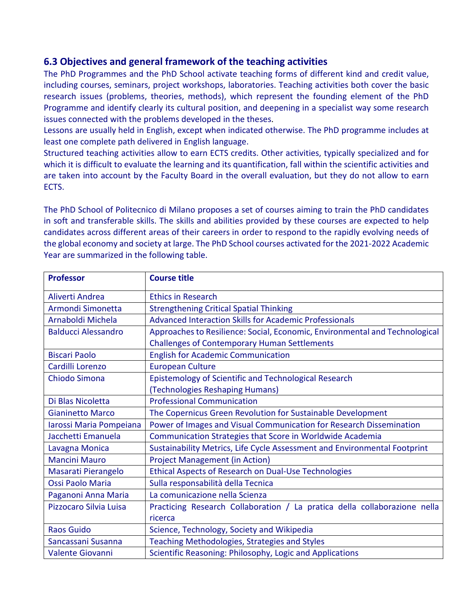### **6.3 Objectives and general framework of the teaching activities**

The PhD Programmes and the PhD School activate teaching forms of different kind and credit value, including courses, seminars, project workshops, laboratories. Teaching activities both cover the basic research issues (problems, theories, methods), which represent the founding element of the PhD Programme and identify clearly its cultural position, and deepening in a specialist way some research issues connected with the problems developed in the theses.

Lessons are usually held in English, except when indicated otherwise. The PhD programme includes at least one complete path delivered in English language.

Structured teaching activities allow to earn ECTS credits. Other activities, typically specialized and for which it is difficult to evaluate the learning and its quantification, fall within the scientific activities and are taken into account by the Faculty Board in the overall evaluation, but they do not allow to earn ECTS.

The PhD School of Politecnico di Milano proposes a set of courses aiming to train the PhD candidates in soft and transferable skills. The skills and abilities provided by these courses are expected to help candidates across different areas of their careers in order to respond to the rapidly evolving needs of the global economy and society at large. The PhD School courses activated for the 2021-2022 Academic Year are summarized in the following table.

| <b>Professor</b>           | <b>Course title</b>                                                         |
|----------------------------|-----------------------------------------------------------------------------|
| Aliverti Andrea            | <b>Ethics in Research</b>                                                   |
| Armondi Simonetta          | <b>Strengthening Critical Spatial Thinking</b>                              |
| Arnaboldi Michela          | <b>Advanced Interaction Skills for Academic Professionals</b>               |
| <b>Balducci Alessandro</b> | Approaches to Resilience: Social, Economic, Environmental and Technological |
|                            | <b>Challenges of Contemporary Human Settlements</b>                         |
| <b>Biscari Paolo</b>       | <b>English for Academic Communication</b>                                   |
| Cardilli Lorenzo           | <b>European Culture</b>                                                     |
| Chiodo Simona              | Epistemology of Scientific and Technological Research                       |
|                            | (Technologies Reshaping Humans)                                             |
| Di Blas Nicoletta          | <b>Professional Communication</b>                                           |
| <b>Gianinetto Marco</b>    | The Copernicus Green Revolution for Sustainable Development                 |
| Iarossi Maria Pompeiana    | Power of Images and Visual Communication for Research Dissemination         |
| Jacchetti Emanuela         | Communication Strategies that Score in Worldwide Academia                   |
| Lavagna Monica             | Sustainability Metrics, Life Cycle Assessment and Environmental Footprint   |
| <b>Mancini Mauro</b>       | <b>Project Management (in Action)</b>                                       |
| Masarati Pierangelo        | Ethical Aspects of Research on Dual-Use Technologies                        |
| Ossi Paolo Maria           | Sulla responsabilità della Tecnica                                          |
| Paganoni Anna Maria        | La comunicazione nella Scienza                                              |
| Pizzocaro Silvia Luisa     | Practicing Research Collaboration / La pratica della collaborazione nella   |
|                            | ricerca                                                                     |
| Raos Guido                 | Science, Technology, Society and Wikipedia                                  |
| Sancassani Susanna         | <b>Teaching Methodologies, Strategies and Styles</b>                        |
| <b>Valente Giovanni</b>    | Scientific Reasoning: Philosophy, Logic and Applications                    |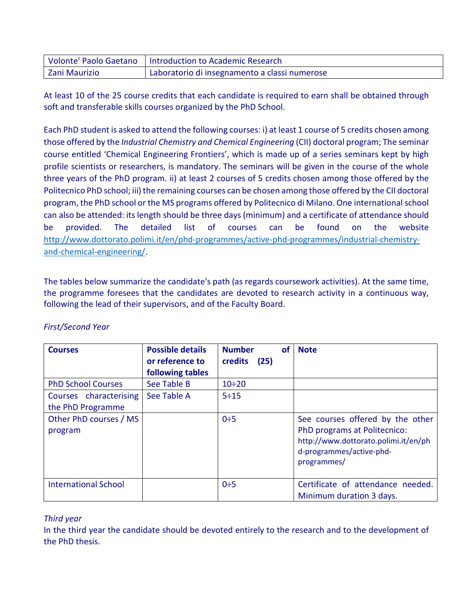|               | Volonte' Paolo Gaetano   Introduction to Academic Research |
|---------------|------------------------------------------------------------|
| Zani Maurizio | Laboratorio di insegnamento a classi numerose              |

At least 10 of the 25 course credits that each candidate is required to earn shall be obtained through soft and transferable skills courses organized by the PhD School.

Each PhD student is asked to attend the following courses: i) at least 1 course of 5 credits chosen among those offered by the *Industrial Chemistry and Chemical Engineering* (CII) doctoral program; The seminar course entitled 'Chemical Engineering Frontiers', which is made up of a series seminars kept by high profile scientists or researchers, is mandatory. The seminars will be given in the course of the whole three years of the PhD program. ii) at least 2 courses of 5 credits chosen among those offered by the Politecnico PhD school; iii) the remaining courses can be chosen among those offered by the CII doctoral program, the PhD school or the MS programs offered by Politecnico di Milano. One international school can also be attended: its length should be three days (minimum) and a certificate of attendance should be provided. The detailed list of courses can be found on the website [http://www.dottorato.polimi.it/en/phd-programmes/active-phd-programmes/industrial-chemistry](http://www.dottorato.polimi.it/en/phd-programmes/active-phd-programmes/industrial-chemistry-and-chemical-engineering/)[and-chemical-engineering/.](http://www.dottorato.polimi.it/en/phd-programmes/active-phd-programmes/industrial-chemistry-and-chemical-engineering/)

The tables below summarize the candidate's path (as regards coursework activities). At the same time, the programme foresees that the candidates are devoted to research activity in a continuous way, following the lead of their supervisors, and of the Faculty Board.

| <b>Courses</b>                              | <b>Possible details</b><br>or reference to<br>following tables | <b>Number</b><br>credits | οf<br>(25) | <b>Note</b>                                                                                                                                         |
|---------------------------------------------|----------------------------------------------------------------|--------------------------|------------|-----------------------------------------------------------------------------------------------------------------------------------------------------|
| <b>PhD School Courses</b>                   | See Table B                                                    | $10 \div 20$             |            |                                                                                                                                                     |
| Courses characterising<br>the PhD Programme | See Table A                                                    | 5:15                     |            |                                                                                                                                                     |
| Other PhD courses / MS<br>program           |                                                                | $0\div 5$                |            | See courses offered by the other<br>PhD programs at Politecnico:<br>http://www.dottorato.polimi.it/en/ph<br>d-programmes/active-phd-<br>programmes/ |
| <b>International School</b>                 |                                                                | $0\div 5$                |            | Certificate of attendance needed.<br>Minimum duration 3 days.                                                                                       |

### *First/Second Year*

### *Third year*

In the third year the candidate should be devoted entirely to the research and to the development of the PhD thesis.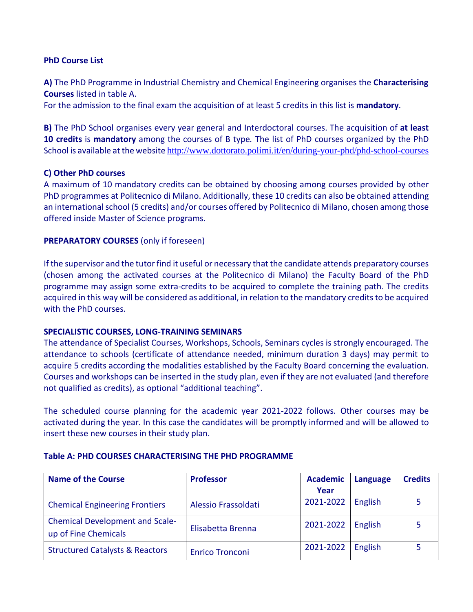#### **PhD Course List**

**A)** The PhD Programme in Industrial Chemistry and Chemical Engineering organises the **Characterising Courses** listed in table A.

For the admission to the final exam the acquisition of at least 5 credits in this list is **mandatory**.

**B)** The PhD School organises every year general and Interdoctoral courses. The acquisition of **at least 10 credits** is **mandatory** among the courses of B type*.* The list of PhD courses organized by the PhD School is available at the website <http://www.dottorato.polimi.it/en/during-your-phd/phd-school-courses>

#### **C) Other PhD courses**

A maximum of 10 mandatory credits can be obtained by choosing among courses provided by other PhD programmes at Politecnico di Milano. Additionally, these 10 credits can also be obtained attending an international school (5 credits) and/or courses offered by Politecnico di Milano, chosen among those offered inside Master of Science programs.

#### **PREPARATORY COURSES** (only if foreseen)

If the supervisor and the tutor find it useful or necessary that the candidate attends preparatory courses (chosen among the activated courses at the Politecnico di Milano) the Faculty Board of the PhD programme may assign some extra-credits to be acquired to complete the training path. The credits acquired in this way will be considered as additional, in relation to the mandatory credits to be acquired with the PhD courses.

#### **SPECIALISTIC COURSES, LONG-TRAINING SEMINARS**

The attendance of Specialist Courses, Workshops, Schools, Seminars cycles is strongly encouraged. The attendance to schools (certificate of attendance needed, minimum duration 3 days) may permit to acquire 5 credits according the modalities established by the Faculty Board concerning the evaluation. Courses and workshops can be inserted in the study plan, even if they are not evaluated (and therefore not qualified as credits), as optional "additional teaching".

The scheduled course planning for the academic year 2021-2022 follows. Other courses may be activated during the year. In this case the candidates will be promptly informed and will be allowed to insert these new courses in their study plan.

#### **Table A: PHD COURSES CHARACTERISING THE PHD PROGRAMME**

| <b>Name of the Course</b>                  | <b>Professor</b>       | <b>Academic</b> | <b>Language</b> | <b>Credits</b> |
|--------------------------------------------|------------------------|-----------------|-----------------|----------------|
|                                            |                        | Year            |                 |                |
| <b>Chemical Engineering Frontiers</b>      | Alessio Frassoldati    | 2021-2022       | English         |                |
| <b>Chemical Development and Scale-</b>     | Elisabetta Brenna      | 2021-2022       | English         |                |
| up of Fine Chemicals                       |                        |                 |                 |                |
| <b>Structured Catalysts &amp; Reactors</b> | <b>Enrico Tronconi</b> | 2021-2022       | English         |                |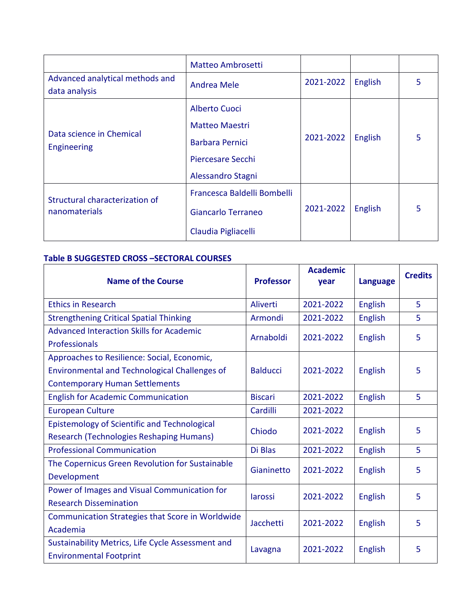|                                                  | <b>Matteo Ambrosetti</b>    |           |                |   |
|--------------------------------------------------|-----------------------------|-----------|----------------|---|
| Advanced analytical methods and<br>data analysis | <b>Andrea Mele</b>          | 2021-2022 | <b>English</b> | 5 |
|                                                  | Alberto Cuoci               |           |                |   |
| Data science in Chemical<br>Engineering          | <b>Matteo Maestri</b>       |           | <b>English</b> | 5 |
|                                                  | <b>Barbara Pernici</b>      | 2021-2022 |                |   |
|                                                  | Piercesare Secchi           |           |                |   |
|                                                  | Alessandro Stagni           |           |                |   |
| Structural characterization of                   | Francesca Baldelli Bombelli |           | English        | 5 |
| nanomaterials                                    | Giancarlo Terraneo          | 2021-2022 |                |   |
|                                                  | Claudia Pigliacelli         |           |                |   |

#### **Table B SUGGESTED CROSS –SECTORAL COURSES**

| <b>Name of the Course</b>                           | <b>Professor</b> | <b>Academic</b><br>year | <b>Language</b> | <b>Credits</b> |
|-----------------------------------------------------|------------------|-------------------------|-----------------|----------------|
|                                                     |                  |                         |                 |                |
| <b>Ethics in Research</b>                           | Aliverti         | 2021-2022               | <b>English</b>  | 5              |
| <b>Strengthening Critical Spatial Thinking</b>      | Armondi          | 2021-2022               | <b>English</b>  | 5              |
| <b>Advanced Interaction Skills for Academic</b>     | Arnaboldi        | 2021-2022               | <b>English</b>  | 5              |
| <b>Professionals</b>                                |                  |                         |                 |                |
| Approaches to Resilience: Social, Economic,         |                  |                         |                 |                |
| Environmental and Technological Challenges of       | <b>Balducci</b>  | 2021-2022               | <b>English</b>  | 5              |
| <b>Contemporary Human Settlements</b>               |                  |                         |                 |                |
| <b>English for Academic Communication</b>           | <b>Biscari</b>   | 2021-2022               | <b>English</b>  | 5              |
| <b>European Culture</b>                             | Cardilli         | 2021-2022               |                 |                |
| <b>Epistemology of Scientific and Technological</b> |                  | 2021-2022               |                 | 5              |
| Research (Technologies Reshaping Humans)            | Chiodo           |                         | <b>English</b>  |                |
| <b>Professional Communication</b>                   | Di Blas          | 2021-2022               | <b>English</b>  | 5              |
| The Copernicus Green Revolution for Sustainable     | Gianinetto       | 2021-2022               |                 | 5              |
| Development                                         |                  |                         | <b>English</b>  |                |
| Power of Images and Visual Communication for        | larossi          | 2021-2022               | <b>English</b>  | 5              |
| <b>Research Dissemination</b>                       |                  |                         |                 |                |
| Communication Strategies that Score in Worldwide    | Jacchetti        | 2021-2022               | <b>English</b>  | 5              |
| Academia                                            |                  |                         |                 |                |
| Sustainability Metrics, Life Cycle Assessment and   | Lavagna          | 2021-2022               | <b>English</b>  | 5              |
| <b>Environmental Footprint</b>                      |                  |                         |                 |                |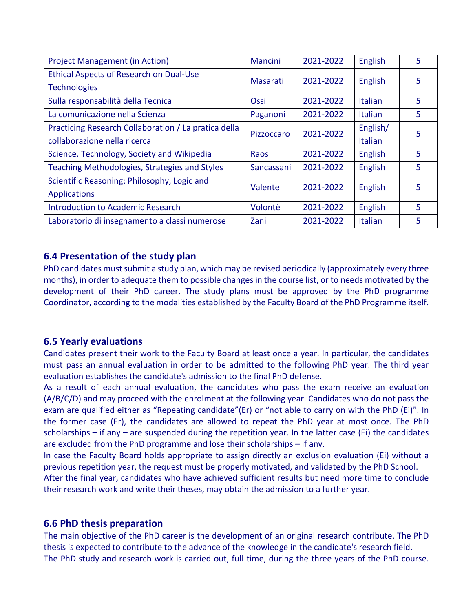| <b>Project Management (in Action)</b>                                                | Mancini         | 2021-2022 | <b>English</b>             | 5  |
|--------------------------------------------------------------------------------------|-----------------|-----------|----------------------------|----|
| Ethical Aspects of Research on Dual-Use<br><b>Technologies</b>                       | <b>Masarati</b> | 2021-2022 | English                    | 5. |
| Sulla responsabilità della Tecnica                                                   | Ossi            | 2021-2022 | <b>Italian</b>             | 5  |
| La comunicazione nella Scienza                                                       | Paganoni        | 2021-2022 | <b>Italian</b>             | 5. |
| Practicing Research Collaboration / La pratica della<br>collaborazione nella ricerca | Pizzoccaro      | 2021-2022 | English/<br><b>Italian</b> | 5  |
| Science, Technology, Society and Wikipedia                                           | <b>Raos</b>     | 2021-2022 | English                    | 5  |
| Teaching Methodologies, Strategies and Styles                                        | Sancassani      | 2021-2022 | <b>English</b>             | 5  |
| Scientific Reasoning: Philosophy, Logic and<br><b>Applications</b>                   | Valente         | 2021-2022 | <b>English</b>             | 5. |
| <b>Introduction to Academic Research</b>                                             | Volontè         | 2021-2022 | <b>English</b>             | 5  |
| Laboratorio di insegnamento a classi numerose                                        | Zani            | 2021-2022 | <b>Italian</b>             | 5  |

### **6.4 Presentation of the study plan**

PhD candidates must submit a study plan, which may be revised periodically (approximately every three months), in order to adequate them to possible changes in the course list, or to needs motivated by the development of their PhD career. The study plans must be approved by the PhD programme Coordinator, according to the modalities established by the Faculty Board of the PhD Programme itself.

### **6.5 Yearly evaluations**

Candidates present their work to the Faculty Board at least once a year. In particular, the candidates must pass an annual evaluation in order to be admitted to the following PhD year. The third year evaluation establishes the candidate's admission to the final PhD defense.

As a result of each annual evaluation, the candidates who pass the exam receive an evaluation (A/B/C/D) and may proceed with the enrolment at the following year. Candidates who do not pass the exam are qualified either as "Repeating candidate"(Er) or "not able to carry on with the PhD (Ei)". In the former case (Er), the candidates are allowed to repeat the PhD year at most once. The PhD scholarships – if any – are suspended during the repetition year. In the latter case (Ei) the candidates are excluded from the PhD programme and lose their scholarships – if any.

In case the Faculty Board holds appropriate to assign directly an exclusion evaluation (Ei) without a previous repetition year, the request must be properly motivated, and validated by the PhD School.

After the final year, candidates who have achieved sufficient results but need more time to conclude their research work and write their theses, may obtain the admission to a further year.

### **6.6 PhD thesis preparation**

The main objective of the PhD career is the development of an original research contribute. The PhD thesis is expected to contribute to the advance of the knowledge in the candidate's research field. The PhD study and research work is carried out, full time, during the three years of the PhD course.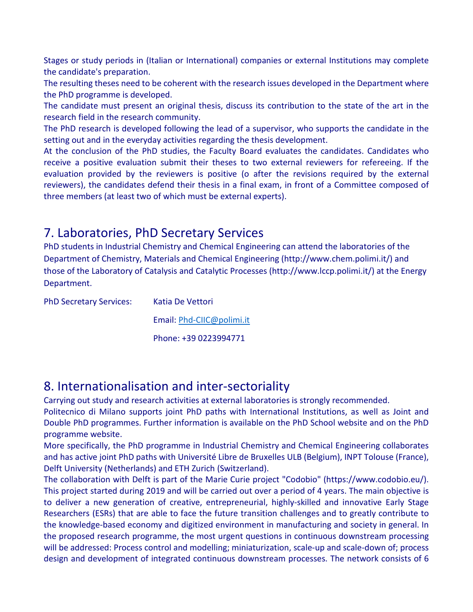Stages or study periods in (Italian or International) companies or external Institutions may complete the candidate's preparation.

The resulting theses need to be coherent with the research issues developed in the Department where the PhD programme is developed.

The candidate must present an original thesis, discuss its contribution to the state of the art in the research field in the research community.

The PhD research is developed following the lead of a supervisor, who supports the candidate in the setting out and in the everyday activities regarding the thesis development.

At the conclusion of the PhD studies, the Faculty Board evaluates the candidates. Candidates who receive a positive evaluation submit their theses to two external reviewers for refereeing. If the evaluation provided by the reviewers is positive (o after the revisions required by the external reviewers), the candidates defend their thesis in a final exam, in front of a Committee composed of three members (at least two of which must be external experts).

## 7. Laboratories, PhD Secretary Services

PhD students in Industrial Chemistry and Chemical Engineering can attend the laboratories of the Department of Chemistry, Materials and Chemical Engineering (http://www.chem.polimi.it/) and those of the Laboratory of Catalysis and Catalytic Processes (http://www.lccp.polimi.it/) at the Energy Department.

| <b>PhD Secretary Services:</b> | Katia De Vettori          |
|--------------------------------|---------------------------|
|                                | Email: Phd-CIIC@polimi.it |
|                                | Phone: +39 0223994771     |

## 8. Internationalisation and inter-sectoriality

Carrying out study and research activities at external laboratories is strongly recommended.

Politecnico di Milano supports joint PhD paths with International Institutions, as well as Joint and Double PhD programmes. Further information is available on the PhD School website and on the PhD programme website.

More specifically, the PhD programme in Industrial Chemistry and Chemical Engineering collaborates and has active joint PhD paths with Université Libre de Bruxelles ULB (Belgium), INPT Tolouse (France), Delft University (Netherlands) and ETH Zurich (Switzerland).

The collaboration with Delft is part of the Marie Curie project "Codobio" (https://www.codobio.eu/). This project started during 2019 and will be carried out over a period of 4 years. The main objective is to deliver a new generation of creative, entrepreneurial, highly-skilled and innovative Early Stage Researchers (ESRs) that are able to face the future transition challenges and to greatly contribute to the knowledge-based economy and digitized environment in manufacturing and society in general. In the proposed research programme, the most urgent questions in continuous downstream processing will be addressed: Process control and modelling; miniaturization, scale-up and scale-down of; process design and development of integrated continuous downstream processes. The network consists of 6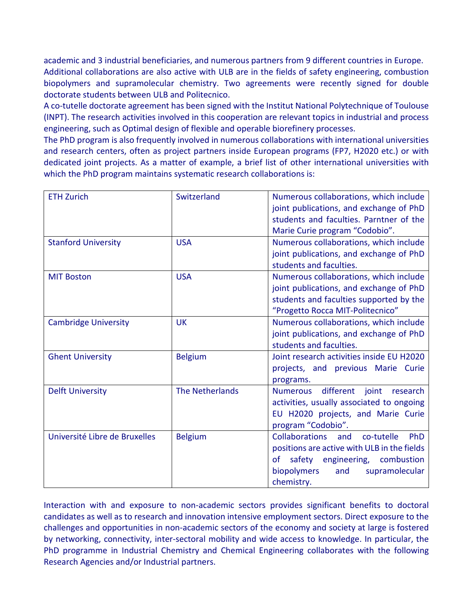academic and 3 industrial beneficiaries, and numerous partners from 9 different countries in Europe. Additional collaborations are also active with ULB are in the fields of safety engineering, combustion biopolymers and supramolecular chemistry. Two agreements were recently signed for double doctorate students between ULB and Politecnico.

A co-tutelle doctorate agreement has been signed with the Institut National Polytechnique of Toulouse (INPT). The research activities involved in this cooperation are relevant topics in industrial and process engineering, such as Optimal design of flexible and operable biorefinery processes.

The PhD program is also frequently involved in numerous collaborations with international universities and research centers, often as project partners inside European programs (FP7, H2020 etc.) or with dedicated joint projects. As a matter of example, a brief list of other international universities with which the PhD program maintains systematic research collaborations is:

| <b>ETH Zurich</b>             | Switzerland            | Numerous collaborations, which include<br>joint publications, and exchange of PhD<br>students and faculties. Parntner of the<br>Marie Curie program "Codobio".                              |
|-------------------------------|------------------------|---------------------------------------------------------------------------------------------------------------------------------------------------------------------------------------------|
| <b>Stanford University</b>    | <b>USA</b>             | Numerous collaborations, which include<br>joint publications, and exchange of PhD<br>students and faculties.                                                                                |
| <b>MIT Boston</b>             | <b>USA</b>             | Numerous collaborations, which include<br>joint publications, and exchange of PhD<br>students and faculties supported by the<br>"Progetto Rocca MIT-Politecnico"                            |
| <b>Cambridge University</b>   | <b>UK</b>              | Numerous collaborations, which include<br>joint publications, and exchange of PhD<br>students and faculties.                                                                                |
| <b>Ghent University</b>       | <b>Belgium</b>         | Joint research activities inside EU H2020<br>projects, and previous Marie Curie<br>programs.                                                                                                |
| <b>Delft University</b>       | <b>The Netherlands</b> | different<br>joint<br>research<br><b>Numerous</b><br>activities, usually associated to ongoing<br>EU H2020 projects, and Marie Curie<br>program "Codobio".                                  |
| Université Libre de Bruxelles | <b>Belgium</b>         | <b>Collaborations</b><br>co-tutelle<br>PhD<br>and<br>positions are active with ULB in the fields<br>of safety engineering, combustion<br>biopolymers<br>supramolecular<br>and<br>chemistry. |

Interaction with and exposure to non-academic sectors provides significant benefits to doctoral candidates as well as to research and innovation intensive employment sectors. Direct exposure to the challenges and opportunities in non-academic sectors of the economy and society at large is fostered by networking, connectivity, inter-sectoral mobility and wide access to knowledge. In particular, the PhD programme in Industrial Chemistry and Chemical Engineering collaborates with the following Research Agencies and/or Industrial partners.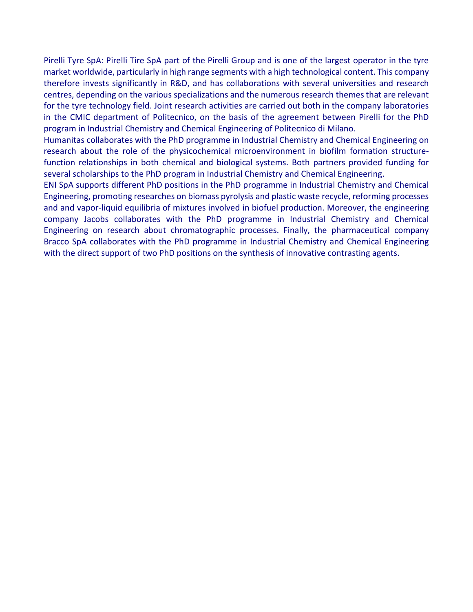Pirelli Tyre SpA: Pirelli Tire SpA part of the Pirelli Group and is one of the largest operator in the tyre market worldwide, particularly in high range segments with a high technological content. This company therefore invests significantly in R&D, and has collaborations with several universities and research centres, depending on the various specializations and the numerous research themes that are relevant for the tyre technology field. Joint research activities are carried out both in the company laboratories in the CMIC department of Politecnico, on the basis of the agreement between Pirelli for the PhD program in Industrial Chemistry and Chemical Engineering of Politecnico di Milano.

Humanitas collaborates with the PhD programme in Industrial Chemistry and Chemical Engineering on research about the role of the physicochemical microenvironment in biofilm formation structurefunction relationships in both chemical and biological systems. Both partners provided funding for several scholarships to the PhD program in Industrial Chemistry and Chemical Engineering.

ENI SpA supports different PhD positions in the PhD programme in Industrial Chemistry and Chemical Engineering, promoting researches on biomass pyrolysis and plastic waste recycle, reforming processes and and vapor-liquid equilibria of mixtures involved in biofuel production. Moreover, the engineering company Jacobs collaborates with the PhD programme in Industrial Chemistry and Chemical Engineering on research about chromatographic processes. Finally, the pharmaceutical company Bracco SpA collaborates with the PhD programme in Industrial Chemistry and Chemical Engineering with the direct support of two PhD positions on the synthesis of innovative contrasting agents.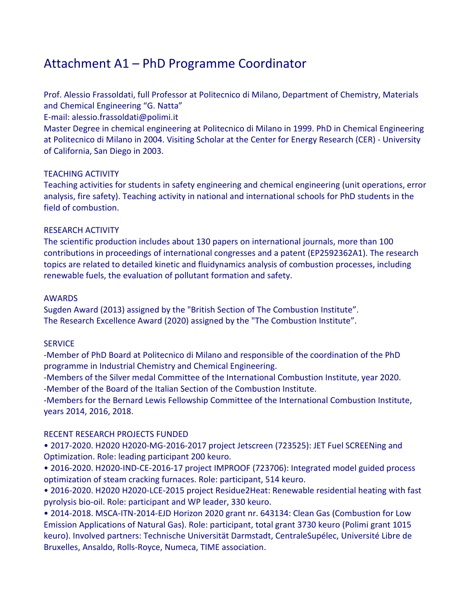## Attachment A1 – PhD Programme Coordinator

Prof. Alessio Frassoldati, full Professor at Politecnico di Milano, Department of Chemistry, Materials and Chemical Engineering "G. Natta"

E-mail: alessio.frassoldati@polimi.it

Master Degree in chemical engineering at Politecnico di Milano in 1999. PhD in Chemical Engineering at Politecnico di Milano in 2004. Visiting Scholar at the Center for Energy Research (CER) - University of California, San Diego in 2003.

#### TEACHING ACTIVITY

Teaching activities for students in safety engineering and chemical engineering (unit operations, error analysis, fire safety). Teaching activity in national and international schools for PhD students in the field of combustion.

#### RESEARCH ACTIVITY

The scientific production includes about 130 papers on international journals, more than 100 contributions in proceedings of international congresses and a patent (EP2592362A1). The research topics are related to detailed kinetic and fluidynamics analysis of combustion processes, including renewable fuels, the evaluation of pollutant formation and safety.

#### AWARDS

Sugden Award (2013) assigned by the "British Section of The Combustion Institute". The Research Excellence Award (2020) assigned by the "The Combustion Institute".

#### **SERVICE**

-Member of PhD Board at Politecnico di Milano and responsible of the coordination of the PhD programme in Industrial Chemistry and Chemical Engineering.

-Members of the Silver medal Committee of the International Combustion Institute, year 2020. -Member of the Board of the Italian Section of the Combustion Institute.

-Members for the Bernard Lewis Fellowship Committee of the International Combustion Institute, years 2014, 2016, 2018.

#### RECENT RESEARCH PROJECTS FUNDED

• 2017-2020. H2020 H2020-MG-2016-2017 project Jetscreen (723525): JET Fuel SCREENing and Optimization. Role: leading participant 200 keuro.

• 2016-2020. H2020-IND-CE-2016-17 project IMPROOF (723706): Integrated model guided process optimization of steam cracking furnaces. Role: participant, 514 keuro.

• 2016-2020. H2020 H2020-LCE-2015 project Residue2Heat: Renewable residential heating with fast pyrolysis bio-oil. Role: participant and WP leader, 330 keuro.

• 2014-2018. MSCA-ITN-2014-EJD Horizon 2020 grant nr. 643134: Clean Gas (Combustion for Low Emission Applications of Natural Gas). Role: participant, total grant 3730 keuro (Polimi grant 1015 keuro). Involved partners: Technische Universität Darmstadt, CentraleSupélec, Université Libre de Bruxelles, Ansaldo, Rolls-Royce, Numeca, TIME association.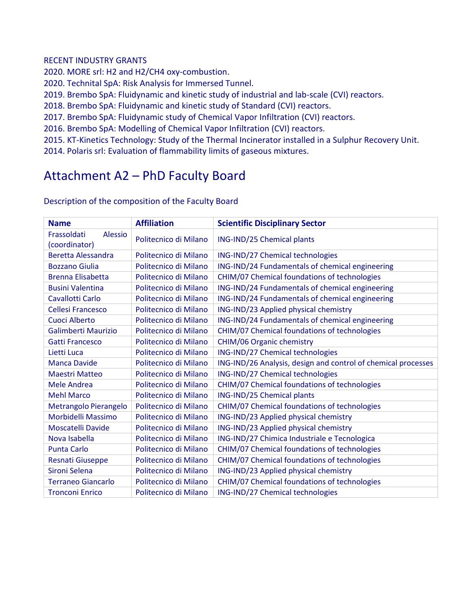#### RECENT INDUSTRY GRANTS

2020. MORE srl: H2 and H2/CH4 oxy-combustion.

2020. Technital SpA: Risk Analysis for Immersed Tunnel.

2019. Brembo SpA: Fluidynamic and kinetic study of industrial and lab-scale (CVI) reactors.

2018. Brembo SpA: Fluidynamic and kinetic study of Standard (CVI) reactors.

2017. Brembo SpA: Fluidynamic study of Chemical Vapor Infiltration (CVI) reactors.

2016. Brembo SpA: Modelling of Chemical Vapor Infiltration (CVI) reactors.

2015. KT-Kinetics Technology: Study of the Thermal Incinerator installed in a Sulphur Recovery Unit.

2014. Polaris srl: Evaluation of flammability limits of gaseous mixtures.

## Attachment A2 – PhD Faculty Board

| <b>Name</b>                                    | <b>Affiliation</b>    | <b>Scientific Disciplinary Sector</b>                         |
|------------------------------------------------|-----------------------|---------------------------------------------------------------|
| Frassoldati<br><b>Alessio</b><br>(coordinator) | Politecnico di Milano | ING-IND/25 Chemical plants                                    |
| <b>Beretta Alessandra</b>                      | Politecnico di Milano | ING-IND/27 Chemical technologies                              |
| <b>Bozzano Giulia</b>                          | Politecnico di Milano | ING-IND/24 Fundamentals of chemical engineering               |
| <b>Brenna Elisabetta</b>                       | Politecnico di Milano | CHIM/07 Chemical foundations of technologies                  |
| <b>Busini Valentina</b>                        | Politecnico di Milano | ING-IND/24 Fundamentals of chemical engineering               |
| Cavallotti Carlo                               | Politecnico di Milano | ING-IND/24 Fundamentals of chemical engineering               |
| Cellesi Francesco                              | Politecnico di Milano | ING-IND/23 Applied physical chemistry                         |
| Cuoci Alberto                                  | Politecnico di Milano | ING-IND/24 Fundamentals of chemical engineering               |
| Galimberti Maurizio                            | Politecnico di Milano | CHIM/07 Chemical foundations of technologies                  |
| <b>Gatti Francesco</b>                         | Politecnico di Milano | CHIM/06 Organic chemistry                                     |
| Lietti Luca                                    | Politecnico di Milano | ING-IND/27 Chemical technologies                              |
| <b>Manca Davide</b>                            | Politecnico di Milano | ING-IND/26 Analysis, design and control of chemical processes |
| <b>Maestri Matteo</b>                          | Politecnico di Milano | ING-IND/27 Chemical technologies                              |
| Mele Andrea                                    | Politecnico di Milano | CHIM/07 Chemical foundations of technologies                  |
| <b>Mehl Marco</b>                              | Politecnico di Milano | ING-IND/25 Chemical plants                                    |
| Metrangolo Pierangelo                          | Politecnico di Milano | CHIM/07 Chemical foundations of technologies                  |
| Morbidelli Massimo                             | Politecnico di Milano | ING-IND/23 Applied physical chemistry                         |
| Moscatelli Davide                              | Politecnico di Milano | ING-IND/23 Applied physical chemistry                         |
| Nova Isabella                                  | Politecnico di Milano | ING-IND/27 Chimica Industriale e Tecnologica                  |
| <b>Punta Carlo</b>                             | Politecnico di Milano | CHIM/07 Chemical foundations of technologies                  |
| <b>Resnati Giuseppe</b>                        | Politecnico di Milano | CHIM/07 Chemical foundations of technologies                  |
| Sironi Selena                                  | Politecnico di Milano | ING-IND/23 Applied physical chemistry                         |
| <b>Terraneo Giancarlo</b>                      | Politecnico di Milano | CHIM/07 Chemical foundations of technologies                  |
| <b>Tronconi Enrico</b>                         | Politecnico di Milano | ING-IND/27 Chemical technologies                              |

Description of the composition of the Faculty Board